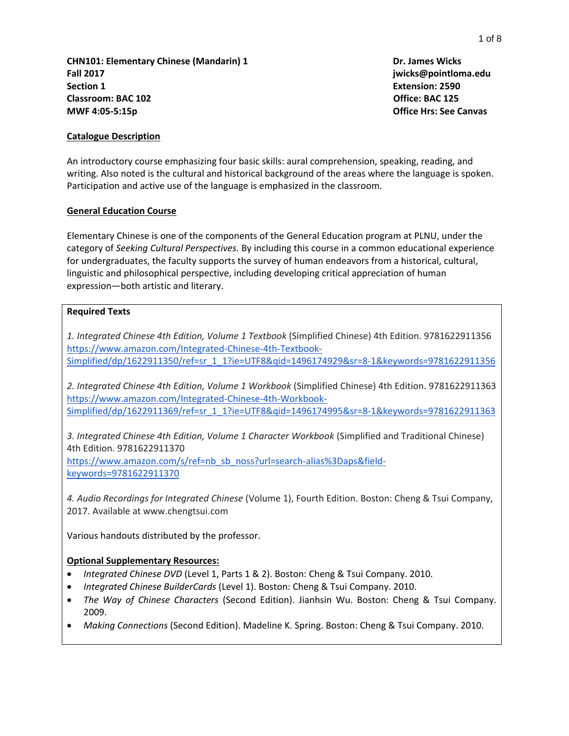**CHN101: Elementary Chinese (Mandarin) 1 Dr. James Wicks Fall 2017 jwicks@pointloma.edu Section 1 Extension: 2590 Classroom: BAC 102** Office: BAC 125 **MWF 4:05-5:15p Office Hrs: See Canvas**

### **Catalogue Description**

An introductory course emphasizing four basic skills: aural comprehension, speaking, reading, and writing. Also noted is the cultural and historical background of the areas where the language is spoken. Participation and active use of the language is emphasized in the classroom.

#### **General Education Course**

Elementary Chinese is one of the components of the General Education program at PLNU, under the category of *Seeking Cultural Perspectives.* By including this course in a common educational experience for undergraduates, the faculty supports the survey of human endeavors from a historical, cultural, linguistic and philosophical perspective, including developing critical appreciation of human expression—both artistic and literary.

#### **Required Texts**

*1. Integrated Chinese 4th Edition, Volume 1 Textbook* (Simplified Chinese) 4th Edition. 9781622911356 [https://www.amazon.com/Integrated-Chinese-4th-Textbook-](https://www.amazon.com/Integrated-Chinese-4th-Textbook-Simplified/dp/1622911350/ref=sr_1_1?ie=UTF8&qid=1496174929&sr=8-1&keywords=9781622911356)[Simplified/dp/1622911350/ref=sr\\_1\\_1?ie=UTF8&qid=1496174929&sr=8-1&keywords=9781622911356](https://www.amazon.com/Integrated-Chinese-4th-Textbook-Simplified/dp/1622911350/ref=sr_1_1?ie=UTF8&qid=1496174929&sr=8-1&keywords=9781622911356)

*2. Integrated Chinese 4th Edition, Volume 1 Workbook* (Simplified Chinese) 4th Edition. 9781622911363 [https://www.amazon.com/Integrated-Chinese-4th-Workbook-](https://www.amazon.com/Integrated-Chinese-4th-Workbook-Simplified/dp/1622911369/ref=sr_1_1?ie=UTF8&qid=1496174995&sr=8-1&keywords=9781622911363)[Simplified/dp/1622911369/ref=sr\\_1\\_1?ie=UTF8&qid=1496174995&sr=8-1&keywords=9781622911363](https://www.amazon.com/Integrated-Chinese-4th-Workbook-Simplified/dp/1622911369/ref=sr_1_1?ie=UTF8&qid=1496174995&sr=8-1&keywords=9781622911363)

*3. Integrated Chinese 4th Edition, Volume 1 Character Workbook* (Simplified and Traditional Chinese) 4th Edition. 9781622911370 [https://www.amazon.com/s/ref=nb\\_sb\\_noss?url=search-alias%3Daps&field](https://www.amazon.com/s/ref=nb_sb_noss?url=search-alias%3Daps&field-keywords=9781622911370)[keywords=9781622911370](https://www.amazon.com/s/ref=nb_sb_noss?url=search-alias%3Daps&field-keywords=9781622911370)

*4. Audio Recordings for Integrated Chinese* (Volume 1), Fourth Edition. Boston: Cheng & Tsui Company, 2017. Available at www.chengtsui.com

Various handouts distributed by the professor.

### **Optional Supplementary Resources:**

- *Integrated Chinese DVD* (Level 1, Parts 1 & 2). Boston: Cheng & Tsui Company. 2010.
- *Integrated Chinese BuilderCards* (Level 1). Boston: Cheng & Tsui Company. 2010.
- *The Way of Chinese Characters* (Second Edition). Jianhsin Wu. Boston: Cheng & Tsui Company. 2009.
- *Making Connections* (Second Edition). Madeline K. Spring. Boston: Cheng & Tsui Company. 2010.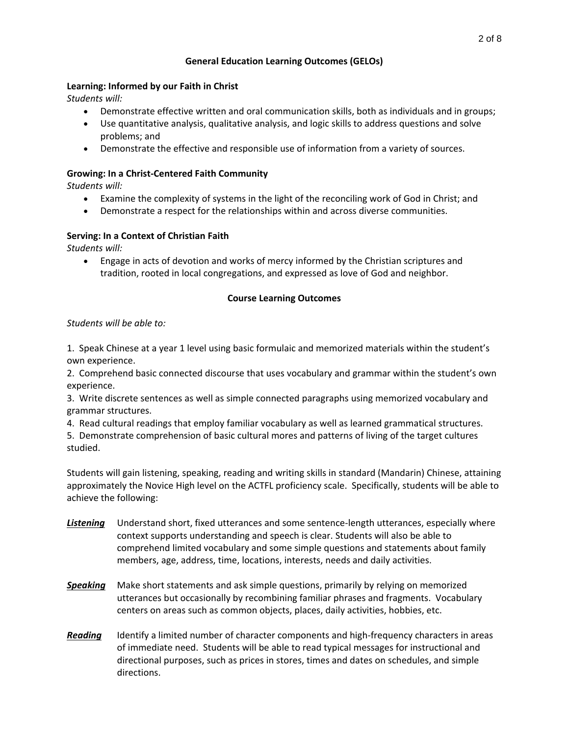# **General Education Learning Outcomes (GELOs)**

### **Learning: Informed by our Faith in Christ**

*Students will:*

- Demonstrate effective written and oral communication skills, both as individuals and in groups;
- Use quantitative analysis, qualitative analysis, and logic skills to address questions and solve problems; and
- Demonstrate the effective and responsible use of information from a variety of sources.

# **Growing: In a Christ-Centered Faith Community**

*Students will:*

- Examine the complexity of systems in the light of the reconciling work of God in Christ; and
- Demonstrate a respect for the relationships within and across diverse communities.

# **Serving: In a Context of Christian Faith**

*Students will:*

 Engage in acts of devotion and works of mercy informed by the Christian scriptures and tradition, rooted in local congregations, and expressed as love of God and neighbor.

### **Course Learning Outcomes**

### *Students will be able to:*

1. Speak Chinese at a year 1 level using basic formulaic and memorized materials within the student's own experience.

2. Comprehend basic connected discourse that uses vocabulary and grammar within the student's own experience.

3. Write discrete sentences as well as simple connected paragraphs using memorized vocabulary and grammar structures.

4. Read cultural readings that employ familiar vocabulary as well as learned grammatical structures.

5. Demonstrate comprehension of basic cultural mores and patterns of living of the target cultures studied.

Students will gain listening, speaking, reading and writing skills in standard (Mandarin) Chinese, attaining approximately the Novice High level on the ACTFL proficiency scale. Specifically, students will be able to achieve the following:

- *Listening* Understand short, fixed utterances and some sentence-length utterances, especially where context supports understanding and speech is clear. Students will also be able to comprehend limited vocabulary and some simple questions and statements about family members, age, address, time, locations, interests, needs and daily activities.
- *Speaking* Make short statements and ask simple questions, primarily by relying on memorized utterances but occasionally by recombining familiar phrases and fragments. Vocabulary centers on areas such as common objects, places, daily activities, hobbies, etc.
- *Reading* Identify a limited number of character components and high-frequency characters in areas of immediate need. Students will be able to read typical messages for instructional and directional purposes, such as prices in stores, times and dates on schedules, and simple directions.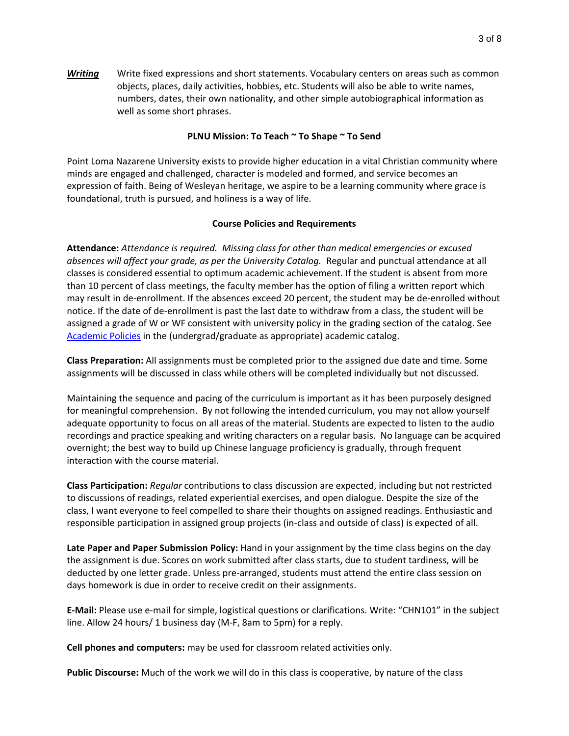*Writing* Write fixed expressions and short statements. Vocabulary centers on areas such as common objects, places, daily activities, hobbies, etc. Students will also be able to write names, numbers, dates, their own nationality, and other simple autobiographical information as well as some short phrases.

### **PLNU Mission: To Teach ~ To Shape ~ To Send**

Point Loma Nazarene University exists to provide higher education in a vital Christian community where minds are engaged and challenged, character is modeled and formed, and service becomes an expression of faith. Being of Wesleyan heritage, we aspire to be a learning community where grace is foundational, truth is pursued, and holiness is a way of life.

#### **Course Policies and Requirements**

**Attendance:** *Attendance is required. Missing class for other than medical emergencies or excused absences will affect your grade, as per the University Catalog.* Regular and punctual attendance at all classes is considered essential to optimum academic achievement. If the student is absent from more than 10 percent of class meetings, the faculty member has the option of filing a written report which may result in de-enrollment. If the absences exceed 20 percent, the student may be de-enrolled without notice. If the date of de-enrollment is past the last date to withdraw from a class, the student will be assigned a grade of W or WF consistent with university policy in the grading section of the catalog. See [Academic Policies](http://catalog.pointloma.edu/content.php?catoid=24&navoid=1581) in the (undergrad/graduate as appropriate) academic catalog.

**Class Preparation:** All assignments must be completed prior to the assigned due date and time. Some assignments will be discussed in class while others will be completed individually but not discussed.

Maintaining the sequence and pacing of the curriculum is important as it has been purposely designed for meaningful comprehension. By not following the intended curriculum, you may not allow yourself adequate opportunity to focus on all areas of the material. Students are expected to listen to the audio recordings and practice speaking and writing characters on a regular basis. No language can be acquired overnight; the best way to build up Chinese language proficiency is gradually, through frequent interaction with the course material.

**Class Participation:** *Regular* contributions to class discussion are expected, including but not restricted to discussions of readings, related experiential exercises, and open dialogue. Despite the size of the class, I want everyone to feel compelled to share their thoughts on assigned readings. Enthusiastic and responsible participation in assigned group projects (in-class and outside of class) is expected of all.

**Late Paper and Paper Submission Policy:** Hand in your assignment by the time class begins on the day the assignment is due. Scores on work submitted after class starts, due to student tardiness, will be deducted by one letter grade. Unless pre-arranged, students must attend the entire class session on days homework is due in order to receive credit on their assignments.

**E-Mail:** Please use e-mail for simple, logistical questions or clarifications. Write: "CHN101" in the subject line. Allow 24 hours/ 1 business day (M-F, 8am to 5pm) for a reply.

**Cell phones and computers:** may be used for classroom related activities only.

**Public Discourse:** Much of the work we will do in this class is cooperative, by nature of the class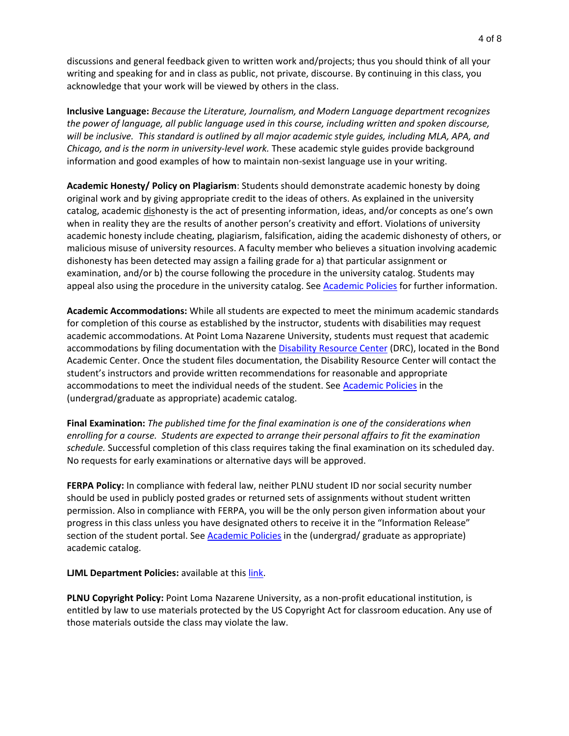discussions and general feedback given to written work and/projects; thus you should think of all your writing and speaking for and in class as public, not private, discourse. By continuing in this class, you acknowledge that your work will be viewed by others in the class.

**Inclusive Language:** *Because the Literature, Journalism, and Modern Language department recognizes the power of language, all public language used in this course, including written and spoken discourse, will be inclusive. This standard is outlined by all major academic style guides, including MLA, APA, and Chicago, and is the norm in university-level work.* These academic style guides provide background information and good examples of how to maintain non-sexist language use in your writing.

**Academic Honesty/ Policy on Plagiarism**: Students should demonstrate academic honesty by doing original work and by giving appropriate credit to the ideas of others. As explained in the university catalog, academic dishonesty is the act of presenting information, ideas, and/or concepts as one's own when in reality they are the results of another person's creativity and effort. Violations of university academic honesty include cheating, plagiarism, falsification, aiding the academic dishonesty of others, or malicious misuse of university resources. A faculty member who believes a situation involving academic dishonesty has been detected may assign a failing grade for a) that particular assignment or examination, and/or b) the course following the procedure in the university catalog. Students may appeal also using the procedure in the university catalog. See [Academic Policies](http://catalog.pointloma.edu/content.php?catoid=24&navoid=1581#Academic_Honesty) for further information.

**Academic Accommodations:** While all students are expected to meet the minimum academic standards for completion of this course as established by the instructor, students with disabilities may request academic accommodations. At Point Loma Nazarene University, students must request that academic accommodations by filing documentation with the [Disability Resource Center](http://www.pointloma.edu/experience/offices/administrative-offices/academic-advising-office/disability-resource-center) (DRC), located in the Bond Academic Center. Once the student files documentation, the Disability Resource Center will contact the student's instructors and provide written recommendations for reasonable and appropriate accommodations to meet the individual needs of the student. See [Academic Policies](http://catalog.pointloma.edu/content.php?catoid=24&navoid=1581) in the (undergrad/graduate as appropriate) academic catalog.

**Final Examination:** *The published time for the final examination is one of the considerations when enrolling for a course. Students are expected to arrange their personal affairs to fit the examination schedule.* Successful completion of this class requires taking the final examination on its scheduled day. No requests for early examinations or alternative days will be approved.

**FERPA Policy:** In compliance with federal law, neither PLNU student ID nor social security number should be used in publicly posted grades or returned sets of assignments without student written permission. Also in compliance with FERPA, you will be the only person given information about your progress in this class unless you have designated others to receive it in the "Information Release" section of the student portal. See [Academic Policies](http://catalog.pointloma.edu/content.php?catoid=24&navoid=1581) in the (undergrad/ graduate as appropriate) academic catalog.

**LJML Department Policies: available at this [link.](http://www.pointloma.edu/sites/default/files/filemanager/Literature_Journalism__Modern_Languages/LJML_Department_Syllabus_Statments_final_2016-17.pdf)** 

**PLNU Copyright Policy:** Point Loma Nazarene University, as a non-profit educational institution, is entitled by law to use materials protected by the US Copyright Act for classroom education. Any use of those materials outside the class may violate the law.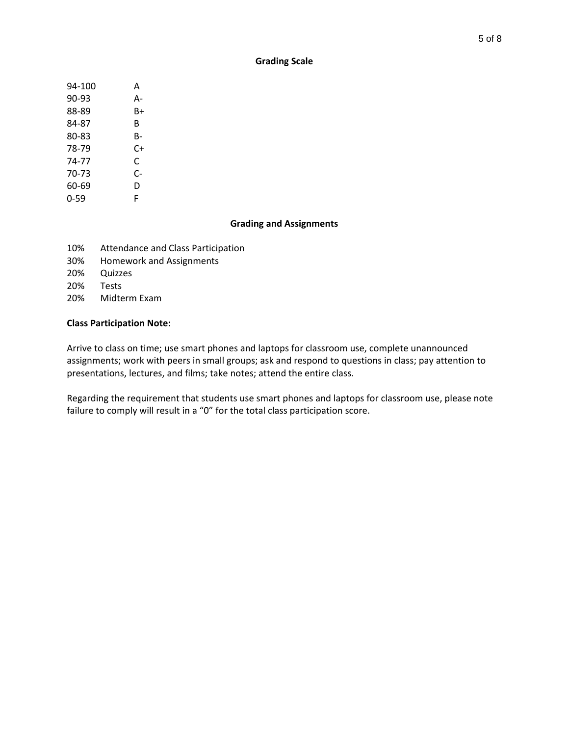#### **Grading Scale**

| 94-100 | A  |
|--------|----|
| 90-93  | А- |
| 88-89  | B+ |
| 84-87  | в  |
| 80-83  | B- |
| 78-79  | C+ |
| 74-77  | C  |
| 70-73  | C- |
| 60-69  | D  |
| 0-59   | F  |

#### **Grading and Assignments**

- 10% Attendance and Class Participation
- 30% Homework and Assignments
- 20% Quizzes
- 20% Tests
- 20% Midterm Exam

#### **Class Participation Note:**

Arrive to class on time; use smart phones and laptops for classroom use, complete unannounced assignments; work with peers in small groups; ask and respond to questions in class; pay attention to presentations, lectures, and films; take notes; attend the entire class.

Regarding the requirement that students use smart phones and laptops for classroom use, please note failure to comply will result in a "0" for the total class participation score.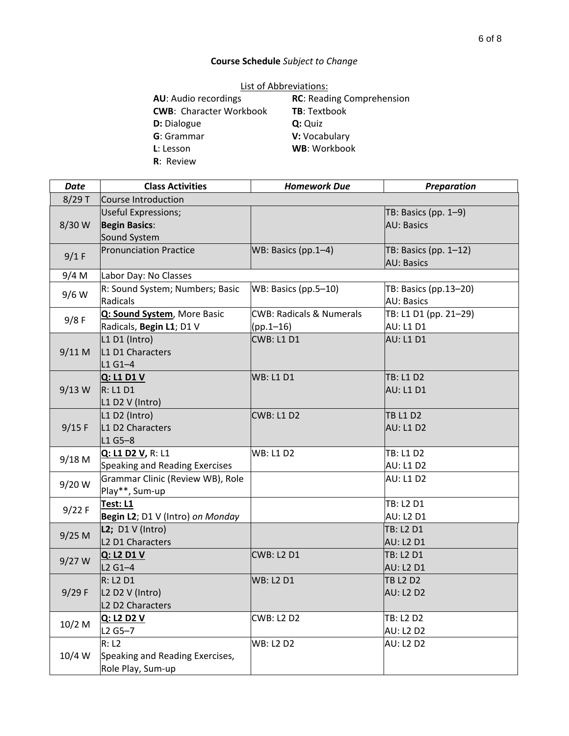# **Course Schedule** *Subject to Change*

| List of Abbreviations:         |                                  |  |  |  |
|--------------------------------|----------------------------------|--|--|--|
| AU: Audio recordings           | <b>RC: Reading Comprehension</b> |  |  |  |
| <b>CWB: Character Workbook</b> | <b>TB: Textbook</b>              |  |  |  |
| D: Dialogue                    | Q: Quiz                          |  |  |  |
| G: Grammar                     | V: Vocabulary                    |  |  |  |
| <b>L</b> : Lesson              | WB: Workbook                     |  |  |  |
| <b>R</b> : Review              |                                  |  |  |  |

| <b>Date</b> | <b>Class Activities</b>                                            | <b>Homework Due</b>                                | <b>Preparation</b>                           |
|-------------|--------------------------------------------------------------------|----------------------------------------------------|----------------------------------------------|
| $8/29$ T    | <b>Course Introduction</b>                                         |                                                    |                                              |
| 8/30W       | <b>Useful Expressions;</b><br><b>Begin Basics:</b><br>Sound System |                                                    | TB: Basics (pp. $1-9$ )<br><b>AU: Basics</b> |
| $9/1$ F     | <b>Pronunciation Practice</b>                                      | WB: Basics (pp.1-4)                                | TB: Basics (pp. 1-12)<br><b>AU: Basics</b>   |
| 9/4 M       | Labor Day: No Classes                                              |                                                    |                                              |
| 9/6 W       | R: Sound System; Numbers; Basic<br>Radicals                        | WB: Basics (pp.5-10)                               | TB: Basics (pp.13-20)<br><b>AU: Basics</b>   |
| $9/8$ F     | Q: Sound System, More Basic<br>Radicals, Begin L1; D1 V            | <b>CWB: Radicals &amp; Numerals</b><br>$(pp.1-16)$ | TB: L1 D1 (pp. 21-29)<br>AU: L1 D1           |
| 9/11 M      | L1 D1 (Intro)<br>L1 D1 Characters<br>$L1G1 - 4$                    | <b>CWB: L1 D1</b>                                  | <b>AU: L1 D1</b>                             |
| $9/13$ W    | Q: L1 D1 V<br>R: L1 D1<br>L1 D2 V (Intro)                          | <b>WB: L1 D1</b>                                   | <b>TB: L1 D2</b><br><b>AU: L1 D1</b>         |
| 9/15 F      | L1 D2 (Intro)<br>L1 D2 Characters<br>$L1G5-8$                      | <b>CWB: L1 D2</b>                                  | <b>TB L1 D2</b><br><b>AU: L1 D2</b>          |
| $9/18$ M    | Q: L1 D2 V, R: L1<br>Speaking and Reading Exercises                | <b>WB: L1 D2</b>                                   | <b>TB: L1 D2</b><br><b>AU: L1 D2</b>         |
| $9/20$ W    | Grammar Clinic (Review WB), Role<br>Play**, Sum-up                 |                                                    | <b>AU: L1 D2</b>                             |
| 9/22 F      | Test: L1<br>Begin L2; D1 V (Intro) on Monday                       |                                                    | TB: L2 D1<br><b>AU: L2 D1</b>                |
| $9/25$ M    | L2; $D1 V$ (Intro)<br>L2 D1 Characters                             |                                                    | TB: L2 D1<br><b>AU: L2 D1</b>                |
| $9/27$ W    | Q: L2 D1 V<br>$L2G1 - 4$                                           | <b>CWB: L2 D1</b>                                  | TB: L2 D1<br><b>AU: L2 D1</b>                |
| 9/29 F      | <b>R: L2 D1</b><br>L2 D2 V (Intro)<br>L2 D2 Characters             | <b>WB: L2 D1</b>                                   | <b>TB L2 D2</b><br><b>AU: L2 D2</b>          |
| $10/2$ M    | Q: L2 D2 V<br>L2 G5-7                                              | <b>CWB: L2 D2</b>                                  | <b>TB: L2 D2</b><br><b>AU: L2 D2</b>         |
| 10/4 W      | R: L2<br>Speaking and Reading Exercises,<br>Role Play, Sum-up      | <b>WB: L2 D2</b>                                   | <b>AU: L2 D2</b>                             |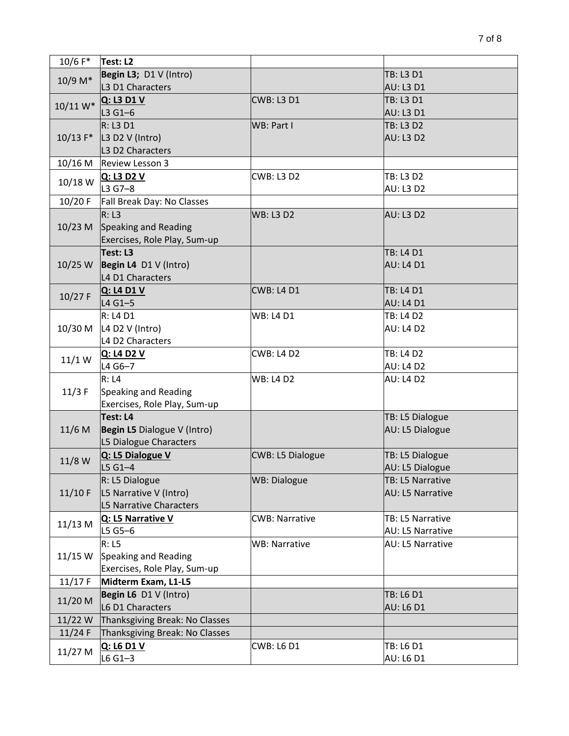| $10/6 F*$   | Test: L2                       |                       |                         |
|-------------|--------------------------------|-----------------------|-------------------------|
| 10/9 M*     | Begin L3; D1 V (Intro)         |                       | TB: L3 D1               |
|             | L3 D1 Characters               |                       | <b>AU: L3 D1</b>        |
|             | Q: L3 D1 V                     | <b>CWB: L3 D1</b>     | TB: L3 D1               |
| $10/11 W^*$ | L3 G1-6                        |                       | <b>AU: L3 D1</b>        |
|             | R: L3D1                        | WB: Part I            | TB: L3 D2               |
|             | 10/13 F* L3 D2 V (Intro)       |                       | <b>AU: L3 D2</b>        |
|             | L3 D2 Characters               |                       |                         |
| $10/16$ M   | Review Lesson 3                |                       |                         |
|             | Q: L3 D2 V                     | <b>CWB: L3 D2</b>     | <b>TB: L3 D2</b>        |
| 10/18 W     | L3 G7-8                        |                       | <b>AU: L3 D2</b>        |
| 10/20 F     | Fall Break Day: No Classes     |                       |                         |
|             | R: L3                          | <b>WB: L3 D2</b>      | <b>AU: L3 D2</b>        |
| $10/23$ M   | Speaking and Reading           |                       |                         |
|             | Exercises, Role Play, Sum-up   |                       |                         |
|             | Test: L3                       |                       | TB: L4 D1               |
| 10/25 W     | Begin L4 D1 V (Intro)          |                       | <b>AU: L4 D1</b>        |
|             | L4 D1 Characters               |                       |                         |
|             | Q: L4 D1 V                     | <b>CWB: L4 D1</b>     | TB: L4 D1               |
| 10/27 F     | L4 G1-5                        |                       | <b>AU: L4 D1</b>        |
|             | <b>R: L4 D1</b>                | <b>WB: L4 D1</b>      | TB: L4 D2               |
|             |                                |                       | <b>AU: L4 D2</b>        |
| 10/30 M     | L4 D2 V (Intro)                |                       |                         |
|             | L4 D2 Characters               |                       |                         |
| $11/1$ W    | Q: L4 D2 V                     | CWB: L4 D2            | TB: L4 D2               |
|             | L4 G6-7                        |                       | <b>AU: L4 D2</b>        |
|             | R: L4                          | <b>WB: L4 D2</b>      | <b>AU: L4 D2</b>        |
| $11/3$ F    | Speaking and Reading           |                       |                         |
|             | Exercises, Role Play, Sum-up   |                       |                         |
|             | Test: L4                       |                       | TB: L5 Dialogue         |
| $11/6$ M    | Begin L5 Dialogue V (Intro)    |                       | AU: L5 Dialogue         |
|             | L5 Dialogue Characters         |                       |                         |
| 11/8 W      | Q: L5 Dialogue V               | CWB: L5 Dialogue      | TB: L5 Dialogue         |
|             | L5 $G1-4$                      |                       | AU: L5 Dialogue         |
| 11/10 F     | R: L5 Dialogue                 | <b>WB: Dialogue</b>   | TB: L5 Narrative        |
|             | L5 Narrative V (Intro)         |                       | AU: L5 Narrative        |
|             | L5 Narrative Characters        |                       |                         |
| $11/13$ M   | Q: L5 Narrative V              | <b>CWB: Narrative</b> | TB: L5 Narrative        |
|             | $L5G5-6$                       |                       | <b>AU: L5 Narrative</b> |
|             | R: L5                          | <b>WB: Narrative</b>  | AU: L5 Narrative        |
| 11/15 W     | Speaking and Reading           |                       |                         |
|             | Exercises, Role Play, Sum-up   |                       |                         |
| 11/17 F     | Midterm Exam, L1-L5            |                       |                         |
| 11/20 M     | Begin L6 D1 V (Intro)          |                       | TB: L6 D1               |
|             | L6 D1 Characters               |                       | <b>AU: L6 D1</b>        |
| 11/22 W     | Thanksgiving Break: No Classes |                       |                         |
| 11/24 F     | Thanksgiving Break: No Classes |                       |                         |
| 11/27 M     | Q: L6 D1 V                     | <b>CWB: L6 D1</b>     | TB: L6 D1               |
|             | $L6G1-3$                       |                       | <b>AU: L6 D1</b>        |